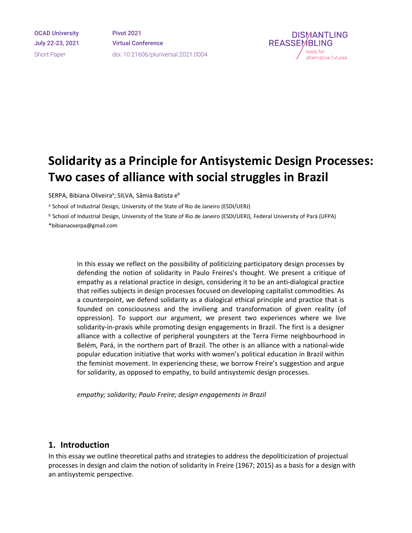OCAD University July 22-23, 2021 Short Paper

Pivot 2021 Virtual Conference doi: 10.21606/pluriversal.2021.0004



# **Solidarity as a Principle for Antisystemic Design Processes: Two cases of alliance with social struggles in Brazil**

SERPA, Bibiana Oliveira<sup>a</sup>; SILVA, Sâmia Batista e<sup>b</sup>

a School of Industrial Design, University of the State of Rio de Janeiro (ESDI/UERJ)

b School of Industrial Design, University of the State of Rio de Janeiro (ESDI/UERJ), Federal University of Pará (UFPA)

\*bibianaoserpa@gmail.com

In this essay we reflect on the possibility of politicizing participatory design processes by defending the notion of solidarity in Paulo Freires's thought. We present a critique of empathy as a relational practice in design, considering it to be an anti-dialogical practice that reifies subjects in design processes focused on developing capitalist commodities. As a counterpoint, we defend solidarity as a dialogical ethical principle and practice that is founded on consciousness and the invilieng and transformation of given reality (of oppression). To support our argument, we present two experiences where we live solidarity-in-praxis while promoting design engagements in Brazil. The first is a designer alliance with a collective of peripheral youngsters at the Terra Firme neighbourhood in Belém, Pará, in the northern part of Brazil. The other is an alliance with a national-wide popular education initiative that works with women's political education in Brazil within the feminist movement. In experiencing these, we borrow Freire's suggestion and argue for solidarity, as opposed to empathy, to build antisystemic design processes.

*empathy; solidarity; Paulo Freire; design engagements in Brazil*

#### **1. Introduction**

In this essay we outline theoretical paths and strategies to address the depoliticization of projectual processes in design and claim the notion of solidarity in Freire (1967; 2015) as a basis for a design with an antisystemic perspective.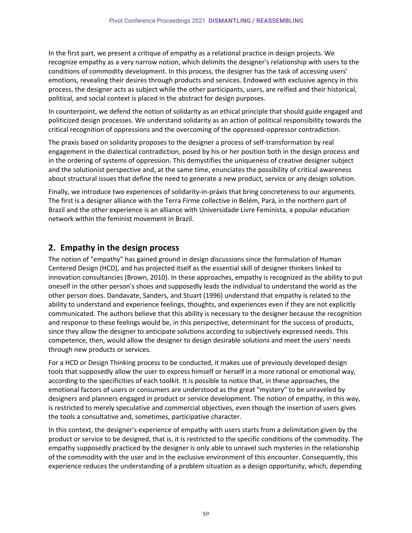In the first part, we present a critique of empathy as a relational practice in design projects. We recognize empathy as a very narrow notion, which delimits the designer's relationship with users to the conditions of commodity development. In this process, the designer has the task of accessing users' emotions, revealing their desires through products and services. Endowed with exclusive agency in this process, the designer acts as subject while the other participants, users, are reified and their historical, political, and social context is placed in the abstract for design purposes.

In counterpoint, we defend the notion of solidarity as an ethical principle that should guide engaged and politicized design processes. We understand solidarity as an action of political responsibility towards the critical recognition of oppressions and the overcoming of the oppressed-oppressor contradiction.

The praxis based on solidarity proposes to the designer a process of self-transformation by real engagement in the dialectical contradiction, posed by his or her position both in the design process and in the ordering of systems of oppression. This demystifies the uniqueness of creative designer subject and the solutionist perspective and, at the same time, enunciates the possibility of critical awareness about structural issues that define the need to generate a new product, service or any design solution.

Finally, we introduce two experiences of solidarity-in-práxis that bring concreteness to our arguments. The first is a designer alliance with the Terra Firme collective in Belém, Pará, in the northern part of Brazil and the other experience is an alliance with Universidade Livre Feminista, a popular education network within the feminist movement in Brazil.

## **2. Empathy in the design process**

The notion of "empathy" has gained ground in design discussions since the formulation of Human Centered Design (HCD), and has projected itself as the essential skill of designer thinkers linked to innovation consultancies (Brown, 2010). In these approaches, empathy is recognized as the ability to put oneself in the other person's shoes and supposedly leads the individual to understand the world as the other person does. Dandavate, Sanders, and Stuart (1996) understand that empathy is related to the ability to understand and experience feelings, thoughts, and experiences even if they are not explicitly communicated. The authors believe that this ability is necessary to the designer because the recognition and response to these feelings would be, in this perspective, determinant for the success of products, since they allow the designer to anticipate solutions according to subjectively expressed needs. This competence, then, would allow the designer to design desirable solutions and meet the users' needs through new products or services.

For a HCD or Design Thinking process to be conducted, it makes use of previously developed design tools that supposedly allow the user to express himself or herself in a more rational or emotional way, according to the specificities of each toolkit. It is possible to notice that, in these approaches, the emotional factors of users or consumers are understood as the great "mystery" to be unraveled by designers and planners engaged in product or service development. The notion of empathy, in this way, is restricted to merely speculative and commercial objectives, even though the insertion of users gives the tools a consultative and, sometimes, participative character.

In this context, the designer's experience of empathy with users starts from a delimitation given by the product or service to be designed, that is, it is restricted to the specific conditions of the commodity. The empathy supposedly practiced by the designer is only able to unravel such mysteries in the relationship of the commodity with the user and in the exclusive environment of this encounter. Consequently, this experience reduces the understanding of a problem situation as a design opportunity, which, depending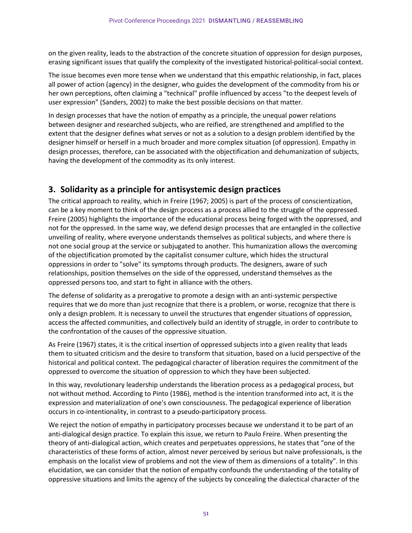on the given reality, leads to the abstraction of the concrete situation of oppression for design purposes, erasing significant issues that qualify the complexity of the investigated historical-political-social context.

The issue becomes even more tense when we understand that this empathic relationship, in fact, places all power of action (agency) in the designer, who guides the development of the commodity from his or her own perceptions, often claiming a "technical" profile influenced by access "to the deepest levels of user expression" (Sanders, 2002) to make the best possible decisions on that matter.

In design processes that have the notion of empathy as a principle, the unequal power relations between designer and researched subjects, who are reified, are strengthened and amplified to the extent that the designer defines what serves or not as a solution to a design problem identified by the designer himself or herself in a much broader and more complex situation (of oppression). Empathy in design processes, therefore, can be associated with the objectification and dehumanization of subjects, having the development of the commodity as its only interest.

## **3. Solidarity as a principle for antisystemic design practices**

The critical approach to reality, which in Freire (1967; 2005) is part of the process of conscientization, can be a key moment to think of the design process as a process allied to the struggle of the oppressed. Freire (2005) highlights the importance of the educational process being forged with the oppressed, and not for the oppressed. In the same way, we defend design processes that are entangled in the collective unveiling of reality, where everyone understands themselves as political subjects, and where there is not one social group at the service or subjugated to another. This humanization allows the overcoming of the objectification promoted by the capitalist consumer culture, which hides the structural oppressions in order to "solve" its symptoms through products. The designers, aware of such relationships, position themselves on the side of the oppressed, understand themselves as the oppressed persons too, and start to fight in alliance with the others.

The defense of solidarity as a prerogative to promote a design with an anti-systemic perspective requires that we do more than just recognize that there is a problem, or worse, recognize that there is only a design problem. It is necessary to unveil the structures that engender situations of oppression, access the affected communities, and collectively build an identity of struggle, in order to contribute to the confrontation of the causes of the oppressive situation.

As Freire (1967) states, it is the critical insertion of oppressed subjects into a given reality that leads them to situated criticism and the desire to transform that situation, based on a lucid perspective of the historical and political context. The pedagogical character of liberation requires the commitment of the oppressed to overcome the situation of oppression to which they have been subjected.

In this way, revolutionary leadership understands the liberation process as a pedagogical process, but not without method. According to Pinto (1986), method is the intention transformed into act, it is the expression and materialization of one's own consciousness. The pedagogical experience of liberation occurs in co-intentionality, in contrast to a pseudo-participatory process.

We reject the notion of empathy in participatory processes because we understand it to be part of an anti-dialogical design practice. To explain this issue, we return to Paulo Freire. When presenting the theory of anti-dialogical action, which creates and perpetuates oppressions, he states that "one of the characteristics of these forms of action, almost never perceived by serious but naïve professionals, is the emphasis on the localist view of problems and not the view of them as dimensions of a totality". In this elucidation, we can consider that the notion of empathy confounds the understanding of the totality of oppressive situations and limits the agency of the subjects by concealing the dialectical character of the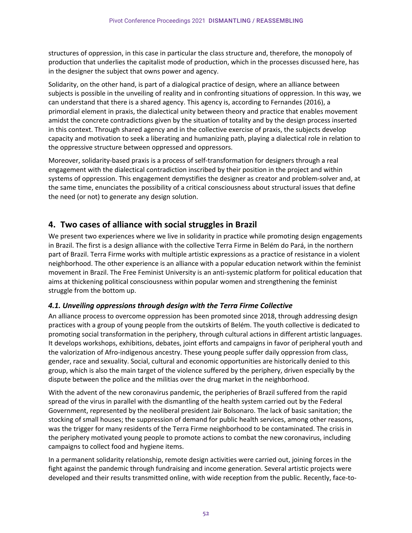structures of oppression, in this case in particular the class structure and, therefore, the monopoly of production that underlies the capitalist mode of production, which in the processes discussed here, has in the designer the subject that owns power and agency.

Solidarity, on the other hand, is part of a dialogical practice of design, where an alliance between subjects is possible in the unveiling of reality and in confronting situations of oppression. In this way, we can understand that there is a shared agency. This agency is, according to Fernandes (2016), a primordial element in praxis, the dialectical unity between theory and practice that enables movement amidst the concrete contradictions given by the situation of totality and by the design process inserted in this context. Through shared agency and in the collective exercise of praxis, the subjects develop capacity and motivation to seek a liberating and humanizing path, playing a dialectical role in relation to the oppressive structure between oppressed and oppressors.

Moreover, solidarity-based praxis is a process of self-transformation for designers through a real engagement with the dialectical contradiction inscribed by their position in the project and within systems of oppression. This engagement demystifies the designer as creator and problem-solver and, at the same time, enunciates the possibility of a critical consciousness about structural issues that define the need (or not) to generate any design solution.

## **4. Two cases of alliance with social struggles in Brazil**

We present two experiences where we live in solidarity in practice while promoting design engagements in Brazil. The first is a design alliance with the collective Terra Firme in Belém do Pará, in the northern part of Brazil. Terra Firme works with multiple artistic expressions as a practice of resistance in a violent neighborhood. The other experience is an alliance with a popular education network within the feminist movement in Brazil. The Free Feminist University is an anti-systemic platform for political education that aims at thickening political consciousness within popular women and strengthening the feminist struggle from the bottom up.

#### *4.1. Unveiling oppressions through design with the Terra Firme Collective*

An alliance process to overcome oppression has been promoted since 2018, through addressing design practices with a group of young people from the outskirts of Belém. The youth collective is dedicated to promoting social transformation in the periphery, through cultural actions in different artistic languages. It develops workshops, exhibitions, debates, joint efforts and campaigns in favor of peripheral youth and the valorization of Afro-indigenous ancestry. These young people suffer daily oppression from class, gender, race and sexuality. Social, cultural and economic opportunities are historically denied to this group, which is also the main target of the violence suffered by the periphery, driven especially by the dispute between the police and the militias over the drug market in the neighborhood.

With the advent of the new coronavirus pandemic, the peripheries of Brazil suffered from the rapid spread of the virus in parallel with the dismantling of the health system carried out by the Federal Government, represented by the neoliberal president Jair Bolsonaro. The lack of basic sanitation; the stocking of small houses; the suppression of demand for public health services, among other reasons, was the trigger for many residents of the Terra Firme neighborhood to be contaminated. The crisis in the periphery motivated young people to promote actions to combat the new coronavirus, including campaigns to collect food and hygiene items.

In a permanent solidarity relationship, remote design activities were carried out, joining forces in the fight against the pandemic through fundraising and income generation. Several artistic projects were developed and their results transmitted online, with wide reception from the public. Recently, face-to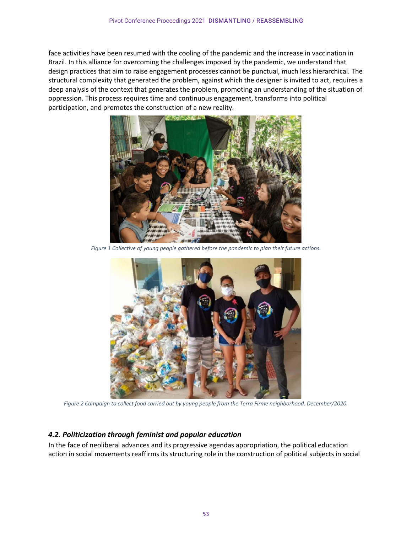face activities have been resumed with the cooling of the pandemic and the increase in vaccination in Brazil. In this alliance for overcoming the challenges imposed by the pandemic, we understand that design practices that aim to raise engagement processes cannot be punctual, much less hierarchical. The structural complexity that generated the problem, against which the designer is invited to act, requires a deep analysis of the context that generates the problem, promoting an understanding of the situation of oppression. This process requires time and continuous engagement, transforms into political participation, and promotes the construction of a new reality.



*Figure 1 Collective of young people gathered before the pandemic to plan their future actions.*



*Figure 2 Campaign to collect food carried out by young people from the Terra Firme neighborhood. December/2020.*

#### *4.2. Politicization through feminist and popular education*

In the face of neoliberal advances and its progressive agendas appropriation, the political education action in social movements reaffirms its structuring role in the construction of political subjects in social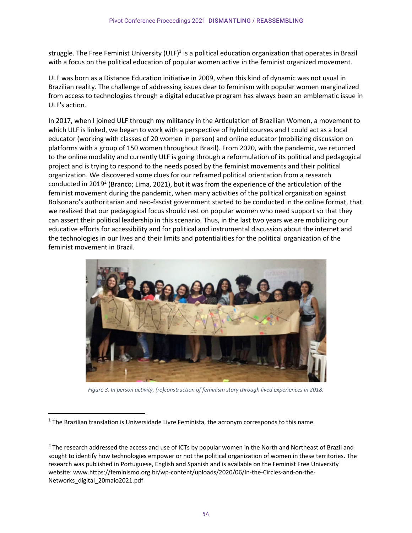struggle. The Free Feminist University (ULF)<sup>1</sup> is a political education organization that operates in Brazil with a focus on the political education of popular women active in the feminist organized movement.

ULF was born as a Distance Education initiative in 2009, when this kind of dynamic was not usual in Brazilian reality. The challenge of addressing issues dear to feminism with popular women marginalized from access to technologies through a digital educative program has always been an emblematic issue in ULF's action.

In 2017, when I joined ULF through my militancy in the Articulation of Brazilian Women, a movement to which ULF is linked, we began to work with a perspective of hybrid courses and I could act as a local educator (working with classes of 20 women in person) and online educator (mobilizing discussion on platforms with a group of 150 women throughout Brazil). From 2020, with the pandemic, we returned to the online modality and currently ULF is going through a reformulation of its political and pedagogical project and is trying to respond to the needs posed by the feminist movements and their political organization. We discovered some clues for our reframed political orientation from a research conducted in 2019<sup>2</sup> (Branco; Lima, 2021), but it was from the experience of the articulation of the feminist movement during the pandemic, when many activities of the political organization against Bolsonaro's authoritarian and neo-fascist government started to be conducted in the online format, that we realized that our pedagogical focus should rest on popular women who need support so that they can assert their political leadership in this scenario. Thus, in the last two years we are mobilizing our educative efforts for accessibility and for political and instrumental discussion about the internet and the technologies in our lives and their limits and potentialities for the political organization of the feminist movement in Brazil.



*Figure 3. In person activity, (re)construction of feminism story through lived experiences in 2018.*

 $1$  The Brazilian translation is Universidade Livre Feminista, the acronym corresponds to this name.

<sup>&</sup>lt;sup>2</sup> The research addressed the access and use of ICTs by popular women in the North and Northeast of Brazil and sought to identify how technologies empower or not the political organization of women in these territories. The research was published in Portuguese, English and Spanish and is available on the Feminist Free University website: www.https://feminismo.org.br/wp-content/uploads/2020/06/In-the-Circles-and-on-the-Networks\_digital\_20maio2021.pdf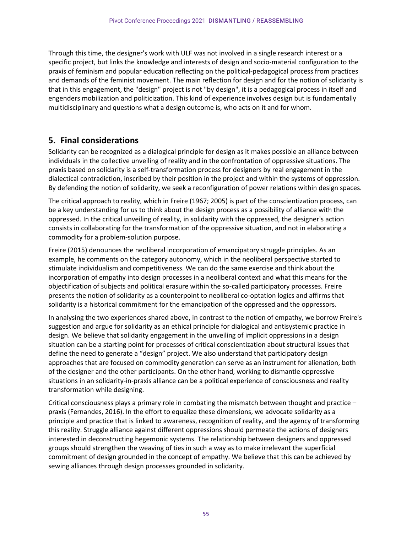Through this time, the designer's work with ULF was not involved in a single research interest or a specific project, but links the knowledge and interests of design and socio-material configuration to the praxis of feminism and popular education reflecting on the political-pedagogical process from practices and demands of the feminist movement. The main reflection for design and for the notion of solidarity is that in this engagement, the "design" project is not "by design", it is a pedagogical process in itself and engenders mobilization and politicization. This kind of experience involves design but is fundamentally multidisciplinary and questions what a design outcome is, who acts on it and for whom.

## **5. Final considerations**

Solidarity can be recognized as a dialogical principle for design as it makes possible an alliance between individuals in the collective unveiling of reality and in the confrontation of oppressive situations. The praxis based on solidarity is a self-transformation process for designers by real engagement in the dialectical contradiction, inscribed by their position in the project and within the systems of oppression. By defending the notion of solidarity, we seek a reconfiguration of power relations within design spaces.

The critical approach to reality, which in Freire (1967; 2005) is part of the conscientization process, can be a key understanding for us to think about the design process as a possibility of alliance with the oppressed. In the critical unveiling of reality, in solidarity with the oppressed, the designer's action consists in collaborating for the transformation of the oppressive situation, and not in elaborating a commodity for a problem-solution purpose.

Freire (2015) denounces the neoliberal incorporation of emancipatory struggle principles. As an example, he comments on the category autonomy, which in the neoliberal perspective started to stimulate individualism and competitiveness. We can do the same exercise and think about the incorporation of empathy into design processes in a neoliberal context and what this means for the objectification of subjects and political erasure within the so-called participatory processes. Freire presents the notion of solidarity as a counterpoint to neoliberal co-optation logics and affirms that solidarity is a historical commitment for the emancipation of the oppressed and the oppressors.

In analysing the two experiences shared above, in contrast to the notion of empathy, we borrow Freire's suggestion and argue for solidarity as an ethical principle for dialogical and antisystemic practice in design. We believe that solidarity engagement in the unveiling of implicit oppressions in a design situation can be a starting point for processes of critical conscientization about structural issues that define the need to generate a "design" project. We also understand that participatory design approaches that are focused on commodity generation can serve as an instrument for alienation, both of the designer and the other participants. On the other hand, working to dismantle oppressive situations in an solidarity-in-praxis alliance can be a political experience of consciousness and reality transformation while designing.

Critical consciousness plays a primary role in combating the mismatch between thought and practice – praxis (Fernandes, 2016). In the effort to equalize these dimensions, we advocate solidarity as a principle and practice that is linked to awareness, recognition of reality, and the agency of transforming this reality. Struggle alliance against different oppressions should permeate the actions of designers interested in deconstructing hegemonic systems. The relationship between designers and oppressed groups should strengthen the weaving of ties in such a way as to make irrelevant the superficial commitment of design grounded in the concept of empathy. We believe that this can be achieved by sewing alliances through design processes grounded in solidarity.